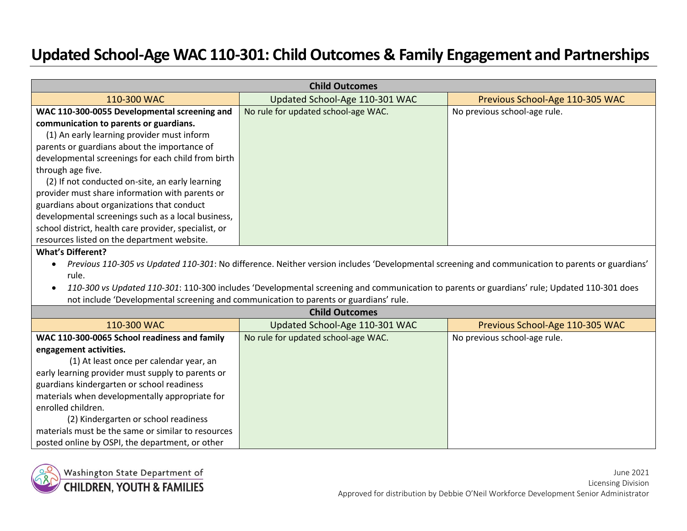## **Updated School-Age WAC 110-301: Child Outcomes & Family Engagement and Partnerships**

| <b>Child Outcomes</b>                                                                 |                                                                                                                                                  |                                 |
|---------------------------------------------------------------------------------------|--------------------------------------------------------------------------------------------------------------------------------------------------|---------------------------------|
| 110-300 WAC                                                                           | Updated School-Age 110-301 WAC                                                                                                                   | Previous School-Age 110-305 WAC |
| WAC 110-300-0055 Developmental screening and                                          | No rule for updated school-age WAC.                                                                                                              | No previous school-age rule.    |
| communication to parents or guardians.                                                |                                                                                                                                                  |                                 |
| (1) An early learning provider must inform                                            |                                                                                                                                                  |                                 |
| parents or guardians about the importance of                                          |                                                                                                                                                  |                                 |
| developmental screenings for each child from birth                                    |                                                                                                                                                  |                                 |
| through age five.                                                                     |                                                                                                                                                  |                                 |
| (2) If not conducted on-site, an early learning                                       |                                                                                                                                                  |                                 |
| provider must share information with parents or                                       |                                                                                                                                                  |                                 |
| guardians about organizations that conduct                                            |                                                                                                                                                  |                                 |
| developmental screenings such as a local business,                                    |                                                                                                                                                  |                                 |
| school district, health care provider, specialist, or                                 |                                                                                                                                                  |                                 |
| resources listed on the department website.                                           |                                                                                                                                                  |                                 |
| <b>What's Different?</b>                                                              |                                                                                                                                                  |                                 |
| $\bullet$                                                                             | Previous 110-305 vs Updated 110-301: No difference. Neither version includes 'Developmental screening and communication to parents or guardians' |                                 |
| rule.                                                                                 |                                                                                                                                                  |                                 |
|                                                                                       | 110-300 vs Updated 110-301: 110-300 includes 'Developmental screening and communication to parents or guardians' rule; Updated 110-301 does      |                                 |
| not include 'Developmental screening and communication to parents or guardians' rule. |                                                                                                                                                  |                                 |
|                                                                                       | <b>Child Outcomes</b>                                                                                                                            |                                 |
| 110-300 WAC                                                                           | Updated School-Age 110-301 WAC                                                                                                                   | Previous School-Age 110-305 WAC |
| WAC 110-300-0065 School readiness and family                                          | No rule for updated school-age WAC.                                                                                                              | No previous school-age rule.    |
| engagement activities.                                                                |                                                                                                                                                  |                                 |
| (1) At least once per calendar year, an                                               |                                                                                                                                                  |                                 |
| early learning provider must supply to parents or                                     |                                                                                                                                                  |                                 |
| guardians kindergarten or school readiness                                            |                                                                                                                                                  |                                 |
| materials when developmentally appropriate for                                        |                                                                                                                                                  |                                 |
| enrolled children.                                                                    |                                                                                                                                                  |                                 |
| (2) Kindergarten or school readiness                                                  |                                                                                                                                                  |                                 |
| materials must be the same or similar to resources                                    |                                                                                                                                                  |                                 |
| posted online by OSPI, the department, or other                                       |                                                                                                                                                  |                                 |



Washington State Department of **CHILDREN, YOUTH & FAMILIES**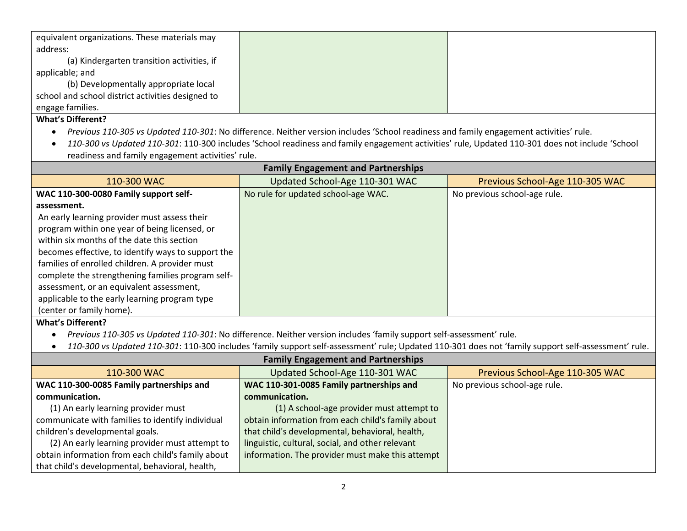| equivalent organizations. These materials may     |  |
|---------------------------------------------------|--|
| address:                                          |  |
| (a) Kindergarten transition activities, if        |  |
| applicable; and                                   |  |
| (b) Developmentally appropriate local             |  |
| school and school district activities designed to |  |
| engage families.                                  |  |
|                                                   |  |

## **What's Different?**

- *Previous 110-305 vs Updated 110-301*: No difference. Neither version includes 'School readiness and family engagement activities' rule.
- *110-300 vs Updated 110-301*: 110-300 includes 'School readiness and family engagement activities' rule, Updated 110-301 does not include 'School readiness and family engagement activities' rule.

| <b>Family Engagement and Partnerships</b>          |                                     |                                 |  |
|----------------------------------------------------|-------------------------------------|---------------------------------|--|
| 110-300 WAC                                        | Updated School-Age 110-301 WAC      | Previous School-Age 110-305 WAC |  |
| WAC 110-300-0080 Family support self-              | No rule for updated school-age WAC. | No previous school-age rule.    |  |
| assessment.                                        |                                     |                                 |  |
| An early learning provider must assess their       |                                     |                                 |  |
| program within one year of being licensed, or      |                                     |                                 |  |
| within six months of the date this section         |                                     |                                 |  |
| becomes effective, to identify ways to support the |                                     |                                 |  |
| families of enrolled children. A provider must     |                                     |                                 |  |
| complete the strengthening families program self-  |                                     |                                 |  |
| assessment, or an equivalent assessment,           |                                     |                                 |  |
| applicable to the early learning program type      |                                     |                                 |  |
| (center or family home).                           |                                     |                                 |  |
| <b>What's Different?</b>                           |                                     |                                 |  |

- *Previous 110-305 vs Updated 110-301*: No difference. Neither version includes 'family support self-assessment' rule.
- *110-300 vs Updated 110-301*: 110-300 includes 'family support self-assessment' rule; Updated 110-301 does not 'family support self-assessment' rule.

| <b>Family Engagement and Partnerships</b>         |                                                   |                                 |  |
|---------------------------------------------------|---------------------------------------------------|---------------------------------|--|
| 110-300 WAC                                       | Updated School-Age 110-301 WAC                    | Previous School-Age 110-305 WAC |  |
| WAC 110-300-0085 Family partnerships and          | WAC 110-301-0085 Family partnerships and          | No previous school-age rule.    |  |
| communication.                                    | communication.                                    |                                 |  |
| (1) An early learning provider must               | (1) A school-age provider must attempt to         |                                 |  |
| communicate with families to identify individual  | obtain information from each child's family about |                                 |  |
| children's developmental goals.                   | that child's developmental, behavioral, health,   |                                 |  |
| (2) An early learning provider must attempt to    | linguistic, cultural, social, and other relevant  |                                 |  |
| obtain information from each child's family about | information. The provider must make this attempt  |                                 |  |
| that child's developmental, behavioral, health,   |                                                   |                                 |  |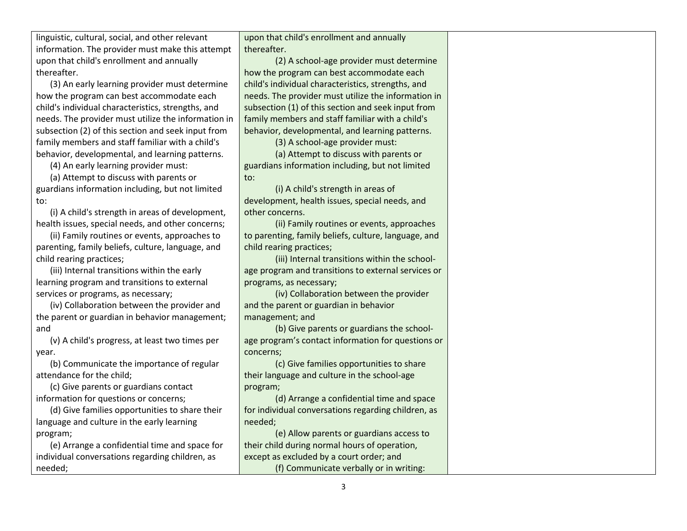linguistic, cultural, social, and other relevant information. The provider must make this attempt upon that child's enrollment and annually thereafter.

(3) An early learning provider must determine how the program can best accommodate each child's individual characteristics, strengths, and needs. The provider must utilize the information in subsection (2) of this section and seek input from family members and staff familiar with a child's behavior, developmental, and learning patterns.

(4) An early learning provider must:

(a) Attempt to discuss with parents or guardians information including, but not limited to:

(i) A child's strength in areas of development, health issues, special needs, and other concerns;

(ii) Family routines or events, approaches to parenting, family beliefs, culture, language, and child rearing practices;

(iii) Internal transitions within the early learning program and transitions to external services or programs, as necessary;

(iv) Collaboration between the provider and the parent or guardian in behavior management; and

(v) A child's progress, at least two times per year.

(b) Communicate the importance of regular attendance for the child;

(c) Give parents or guardians contact information for questions or concerns;

(d) Give families opportunities to share their language and culture in the early learning program;

(e) Arrange a confidential time and space for individual conversations regarding children, as needed;

upon that child's enrollment and annually thereafter.

(2) A school-age provider must determine how the program can best accommodate each child's individual characteristics, strengths, and needs. The provider must utilize the information in subsection (1) of this section and seek input from family members and staff familiar with a child's behavior, developmental, and learning patterns.

(3) A school-age provider must:

(a) Attempt to discuss with parents or guardians information including, but not limited to:

(i) A child's strength in areas of development, health issues, special needs, and other concerns.

(ii) Family routines or events, approaches to parenting, family beliefs, culture, language, and child rearing practices;

(iii) Internal transitions within the schoolage program and transitions to external services or programs, as necessary;

(iv) Collaboration between the provider and the parent or guardian in behavior management; and

(b) Give parents or guardians the schoolage program's contact information for questions or concerns;

(c) Give families opportunities to share their language and culture in the school-age program;

(d) Arrange a confidential time and space for individual conversations regarding children, as needed;

(e) Allow parents or guardians access to their child during normal hours of operation, except as excluded by a court order; and (f) Communicate verbally or in writing: